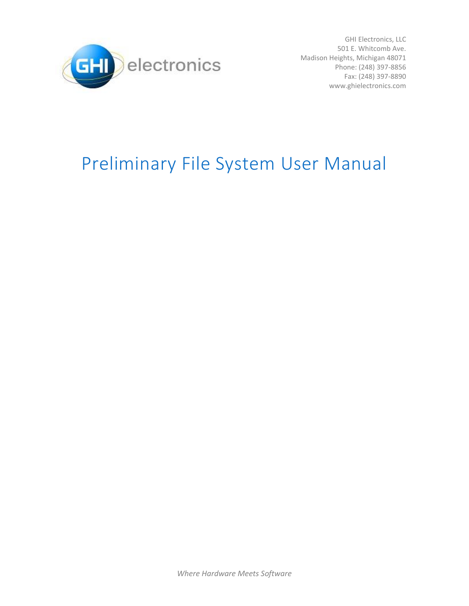

GHI Electronics, LLC 501 E. Whitcomb Ave. Madison Heights, Michigan 48071 Phone: (248) 397-8856 Fax: (248) 397-8890 www.ghielectronics.com

# Preliminary File System User Manual

*Where Hardware Meets Software*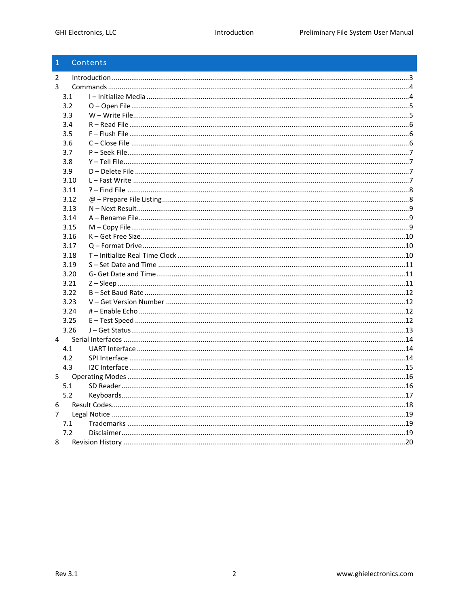| $\mathbf{1}$   |      | Contents |  |
|----------------|------|----------|--|
| $\mathcal{P}$  |      |          |  |
| 3              |      |          |  |
|                | 3.1  |          |  |
|                | 3.2  |          |  |
|                | 3.3  |          |  |
|                | 3.4  |          |  |
|                | 3.5  |          |  |
|                | 3.6  |          |  |
|                | 3.7  |          |  |
|                | 3.8  |          |  |
|                | 3.9  |          |  |
|                | 3.10 |          |  |
|                | 3.11 |          |  |
|                | 3.12 |          |  |
|                | 3.13 |          |  |
|                | 3.14 |          |  |
|                | 3.15 |          |  |
|                | 3.16 |          |  |
|                | 3.17 |          |  |
|                | 3.18 |          |  |
|                | 3.19 |          |  |
|                | 3.20 |          |  |
|                | 3.21 |          |  |
|                | 3.22 |          |  |
|                | 3.23 |          |  |
|                | 3.24 |          |  |
|                | 3.25 |          |  |
|                | 3.26 |          |  |
| $\overline{4}$ |      |          |  |
|                | 4.1  |          |  |
|                | 4.2  |          |  |
|                | 4.3  |          |  |
| 5              |      |          |  |
|                | 5.1  |          |  |
|                | 5.2  |          |  |
| 6              |      |          |  |
| $\overline{7}$ |      |          |  |
|                | 7.1  |          |  |
|                | 7.2  |          |  |
| 8              |      |          |  |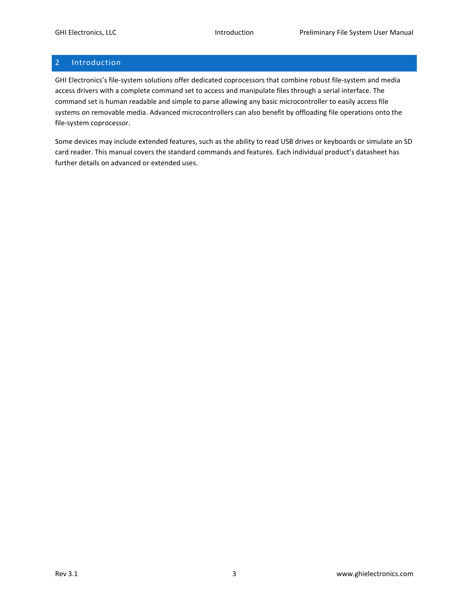# <span id="page-2-0"></span>2 Introduction

GHI Electronics's file-system solutions offer dedicated coprocessors that combine robust file-system and media access drivers with a complete command set to access and manipulate files through a serial interface. The command set is human readable and simple to parse allowing any basic microcontroller to easily access file systems on removable media. Advanced microcontrollers can also benefit by offloading file operations onto the file-system coprocessor.

Some devices may include extended features, such as the ability to read USB drives or keyboards or simulate an SD card reader. This manual covers the standard commands and features. Each individual product's datasheet has further details on advanced or extended uses.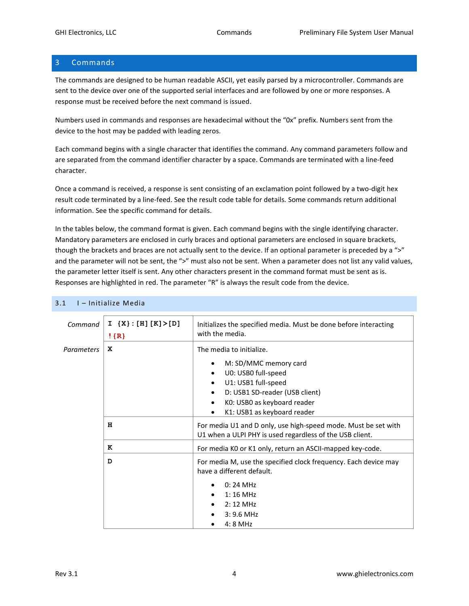# <span id="page-3-0"></span>3 Commands

The commands are designed to be human readable ASCII, yet easily parsed by a microcontroller. Commands are sent to the device over one of the supported serial interfaces and are followed by one or more responses. A response must be received before the next command is issued.

Numbers used in commands and responses are hexadecimal without the "0x" prefix. Numbers sent from the device to the host may be padded with leading zeros.

Each command begins with a single character that identifies the command. Any command parameters follow and are separated from the command identifier character by a space. Commands are terminated with a line-feed character.

Once a command is received, a response is sent consisting of an exclamation point followed by a two-digit hex result code terminated by a line-feed. See the result code table for details. Some commands return additional information. See the specific command for details.

In the tables below, the command format is given. Each command begins with the single identifying character. Mandatory parameters are enclosed in curly braces and optional parameters are enclosed in square brackets, though the brackets and braces are not actually sent to the device. If an optional parameter is preceded by a ">" and the parameter will not be sent, the ">" must also not be sent. When a parameter does not list any valid values, the parameter letter itself is sent. Any other characters present in the command format must be sent as is. Responses are highlighted in red. The parameter "R" is always the result code from the device.

| Command           | $I \{X\} : [H] [K] > [D]$<br>$!$ {R} | Initializes the specified media. Must be done before interacting<br>with the media.                                                                                                                                                                      |
|-------------------|--------------------------------------|----------------------------------------------------------------------------------------------------------------------------------------------------------------------------------------------------------------------------------------------------------|
| <b>Parameters</b> | x                                    | The media to initialize.<br>M: SD/MMC memory card<br>٠<br>U0: USB0 full-speed<br>U1: USB1 full-speed<br>$\bullet$<br>D: USB1 SD-reader (USB client)<br>$\bullet$<br>KO: USBO as keyboard reader<br>$\bullet$<br>K1: USB1 as keyboard reader<br>$\bullet$ |
|                   | н                                    | For media U1 and D only, use high-speed mode. Must be set with<br>U1 when a ULPI PHY is used regardless of the USB client.                                                                                                                               |
|                   | к                                    | For media K0 or K1 only, return an ASCII-mapped key-code.                                                                                                                                                                                                |
|                   | D                                    | For media M, use the specified clock frequency. Each device may<br>have a different default.<br>$0:24$ MHz<br>$1:16$ MHz<br>$2:12$ MHz<br>$3:9.6$ MHz<br>$4:8$ MHz                                                                                       |

#### <span id="page-3-1"></span> $3.1$  I – Initialize Media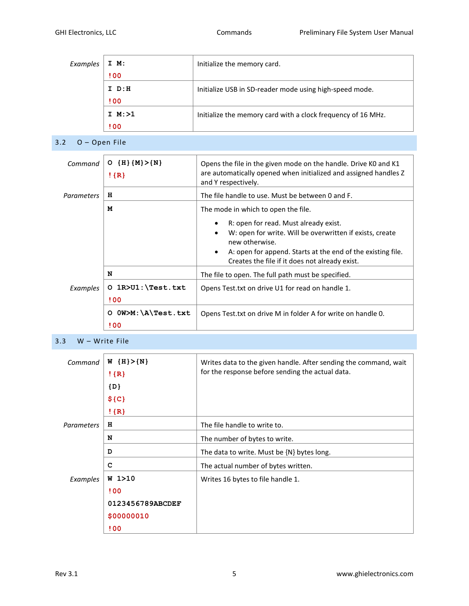| Examples | I M:        | Initialize the memory card.                                  |
|----------|-------------|--------------------------------------------------------------|
|          | 100         |                                                              |
|          | $I$ $D:H$   | Initialize USB in SD-reader mode using high-speed mode.      |
|          | 100         |                                                              |
|          | $I$ M: $>1$ | Initialize the memory card with a clock frequency of 16 MHz. |
|          | <b>! 00</b> |                                                              |

<span id="page-4-0"></span>3.2 O – Open File

| $O(H {(M)}>{N})$<br>$!$ {R}               | Opens the file in the given mode on the handle. Drive KO and K1<br>are automatically opened when initialized and assigned handles Z<br>and Y respectively.                                                                                        |
|-------------------------------------------|---------------------------------------------------------------------------------------------------------------------------------------------------------------------------------------------------------------------------------------------------|
| н                                         | The file handle to use. Must be between 0 and F.                                                                                                                                                                                                  |
| м                                         | The mode in which to open the file.                                                                                                                                                                                                               |
|                                           | R: open for read. Must already exist.<br>W: open for write. Will be overwritten if exists, create<br>new otherwise.<br>A: open for append. Starts at the end of the existing file.<br>$\bullet$<br>Creates the file if it does not already exist. |
| N                                         | The file to open. The full path must be specified.                                                                                                                                                                                                |
| $O$ $1R > U1$ : $Test.txt$<br><b>! 00</b> | Opens Test.txt on drive U1 for read on handle 1.                                                                                                                                                                                                  |
| $0W>M:\A\Test.txt$<br>O<br>! 00           | Opens Test. txt on drive M in folder A for write on handle 0.                                                                                                                                                                                     |
|                                           |                                                                                                                                                                                                                                                   |

### <span id="page-4-1"></span>3.3 W – Write File

| Command           | $W \{H\} > \{N\}$ | Writes data to the given handle. After sending the command, wait |
|-------------------|-------------------|------------------------------------------------------------------|
|                   | $!$ {R}           | for the response before sending the actual data.                 |
|                   | $\{D\}$           |                                                                  |
|                   | $${C}$            |                                                                  |
|                   | $!$ {R}           |                                                                  |
| <b>Parameters</b> | н                 | The file handle to write to.                                     |
|                   | N                 | The number of bytes to write.                                    |
|                   | D                 | The data to write. Must be {N} bytes long.                       |
|                   | C                 | The actual number of bytes written.                              |
| Examples          | $W_1 > 10$        | Writes 16 bytes to file handle 1.                                |
|                   | <b>!00</b>        |                                                                  |
|                   | 0123456789ABCDEF  |                                                                  |
|                   | \$00000010        |                                                                  |
|                   | <b>! 00</b>       |                                                                  |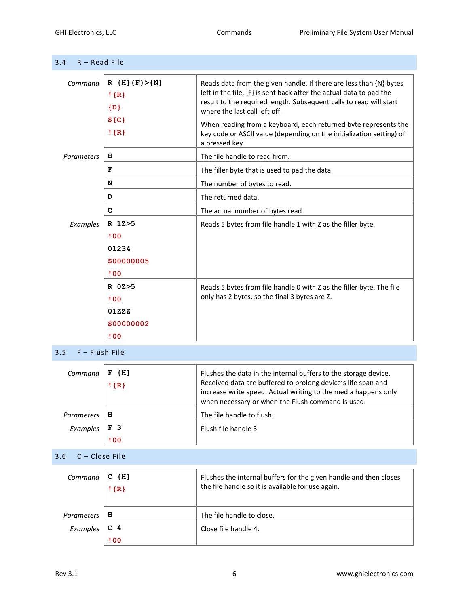<span id="page-5-0"></span>

| 3.4<br>$R - Read$ File |                                                                 |                                                                                                                                                                                                                                                                                                                                                                                                               |  |
|------------------------|-----------------------------------------------------------------|---------------------------------------------------------------------------------------------------------------------------------------------------------------------------------------------------------------------------------------------------------------------------------------------------------------------------------------------------------------------------------------------------------------|--|
| Command                | R ${H}$ ${F}$ $>{N}$<br>$!$ {R}<br>$\{D\}$<br>$${C}$<br>$!$ {R} | Reads data from the given handle. If there are less than {N} bytes<br>left in the file, {F} is sent back after the actual data to pad the<br>result to the required length. Subsequent calls to read will start<br>where the last call left off.<br>When reading from a keyboard, each returned byte represents the<br>key code or ASCII value (depending on the initialization setting) of<br>a pressed key. |  |
| <b>Parameters</b>      | н                                                               | The file handle to read from.                                                                                                                                                                                                                                                                                                                                                                                 |  |
|                        | F                                                               | The filler byte that is used to pad the data.                                                                                                                                                                                                                                                                                                                                                                 |  |
|                        | N                                                               | The number of bytes to read.                                                                                                                                                                                                                                                                                                                                                                                  |  |
|                        | D                                                               | The returned data.                                                                                                                                                                                                                                                                                                                                                                                            |  |
|                        | c                                                               | The actual number of bytes read.                                                                                                                                                                                                                                                                                                                                                                              |  |
| Examples               | R 1Z>5<br>!00<br>01234<br>\$00000005<br>! 00                    | Reads 5 bytes from file handle 1 with Z as the filler byte.                                                                                                                                                                                                                                                                                                                                                   |  |
|                        | $R$ 0Z $>5$<br>100<br>01ZZZ<br>\$00000002<br>!00                | Reads 5 bytes from file handle 0 with Z as the filler byte. The file<br>only has 2 bytes, so the final 3 bytes are Z.                                                                                                                                                                                                                                                                                         |  |

<span id="page-5-1"></span>3.5 F – Flush File

<span id="page-5-2"></span>

| Command                 | $F$ {H}<br>$!$ {R}     | Flushes the data in the internal buffers to the storage device.<br>Received data are buffered to prolong device's life span and<br>increase write speed. Actual writing to the media happens only<br>when necessary or when the Flush command is used. |
|-------------------------|------------------------|--------------------------------------------------------------------------------------------------------------------------------------------------------------------------------------------------------------------------------------------------------|
| <b>Parameters</b>       | н                      | The file handle to flush.                                                                                                                                                                                                                              |
| Examples                | F <sub>3</sub>         | Flush file handle 3.                                                                                                                                                                                                                                   |
|                         | ! 00                   |                                                                                                                                                                                                                                                        |
| $C - Close File$<br>3.6 |                        |                                                                                                                                                                                                                                                        |
| Command                 | $C$ $\{H\}$<br>$!$ {R} | Flushes the internal buffers for the given handle and then closes<br>the file handle so it is available for use again.                                                                                                                                 |
| <b>Parameters</b>       | н                      | The file handle to close.                                                                                                                                                                                                                              |
| Examples                | C <sub>4</sub>         | Close file handle 4.                                                                                                                                                                                                                                   |
|                         | ! 00                   |                                                                                                                                                                                                                                                        |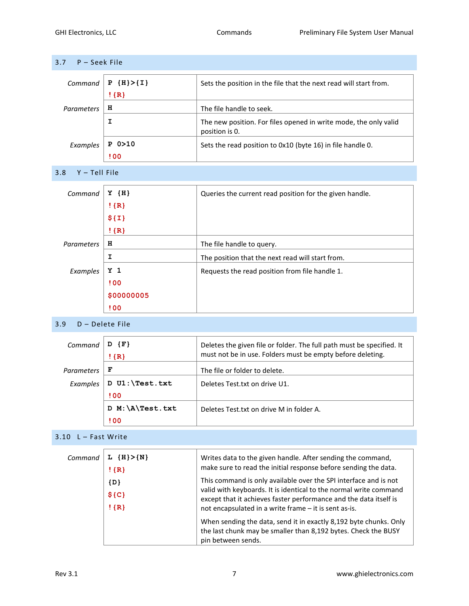<span id="page-6-1"></span><span id="page-6-0"></span>

| 3.7<br>P - Seek File |                              |                                                                                    |  |
|----------------------|------------------------------|------------------------------------------------------------------------------------|--|
| Command              | $P \{H\} > \{I\}$<br>$!$ {R} | Sets the position in the file that the next read will start from.                  |  |
| <b>Parameters</b>    | н                            | The file handle to seek.                                                           |  |
|                      | I                            | The new position. For files opened in write mode, the only valid<br>position is 0. |  |
| Examples             | $P$ 0 $>10$<br><b>! 00</b>   | Sets the read position to 0x10 (byte 16) in file handle 0.                         |  |
| Y - Tell File<br>3.8 |                              |                                                                                    |  |
| Command              | $Y \{H\}$                    | Queries the current read position for the given handle.                            |  |
|                      | $!$ {R}                      |                                                                                    |  |
|                      | \$I]                         |                                                                                    |  |
|                      | $!$ {R}                      |                                                                                    |  |
| <b>Parameters</b>    | н                            | The file handle to query.                                                          |  |
|                      | I.                           | The position that the next read will start from.                                   |  |
| Examples             | Y <sub>1</sub>               | Requests the read position from file handle 1.                                     |  |
|                      | ! 00                         |                                                                                    |  |
|                      | \$00000005                   |                                                                                    |  |
|                      | ! 00                         |                                                                                    |  |
|                      |                              |                                                                                    |  |

#### <span id="page-6-2"></span>3.9 D – Delete File

| Command           | $\{F\}$<br>$!$ {R}   | Deletes the given file or folder. The full path must be specified. It<br>must not be in use. Folders must be empty before deleting. |
|-------------------|----------------------|-------------------------------------------------------------------------------------------------------------------------------------|
| <b>Parameters</b> | F                    | The file or folder to delete.                                                                                                       |
| Examples          | D U1: \Test.txt      | Deletes Test.txt on drive U1.                                                                                                       |
|                   | <b>!00</b>           |                                                                                                                                     |
|                   | $M:\A\TEst.txt$<br>D | Deletes Test.txt on drive M in folder A.                                                                                            |
|                   | <b>! 00</b>          |                                                                                                                                     |

# <span id="page-6-3"></span> $3.10 \quad L -$  Fast Write

| Command | $L$ {H} > {N}<br>$!$ {R}    | Writes data to the given handle. After sending the command,<br>make sure to read the initial response before sending the data.                                                                                                                                                                                                                                                                                                   |
|---------|-----------------------------|----------------------------------------------------------------------------------------------------------------------------------------------------------------------------------------------------------------------------------------------------------------------------------------------------------------------------------------------------------------------------------------------------------------------------------|
|         | $\{D\}$<br>$$C}$<br>$!$ {R} | This command is only available over the SPI interface and is not<br>valid with keyboards. It is identical to the normal write command<br>except that it achieves faster performance and the data itself is<br>not encapsulated in a write frame - it is sent as-is.<br>When sending the data, send it in exactly 8,192 byte chunks. Only<br>the last chunk may be smaller than 8,192 bytes. Check the BUSY<br>pin between sends. |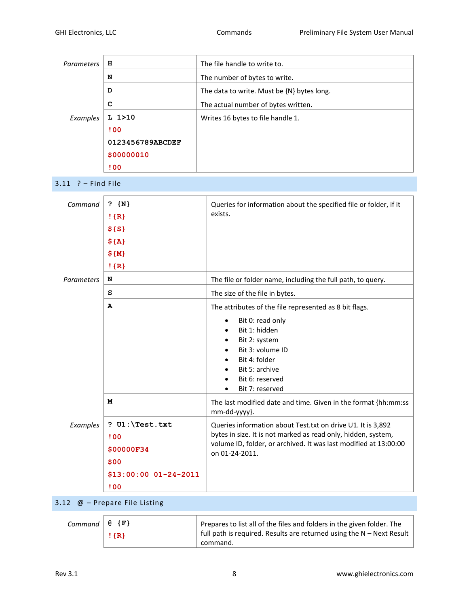<span id="page-7-0"></span>

| N<br>The number of bytes to write.<br>D<br>The data to write. Must be {N} bytes long.<br>с<br>The actual number of bytes written.<br>L 1 > 10<br>Examples<br>Writes 16 bytes to file handle 1.<br>!00<br>0123456789ABCDEF<br>\$00000010<br>100<br>$3.11$ ? - Find File<br>Command<br>? ${N}$<br>Queries for information about the specified file or folder, if it<br>exists.<br>$!$ {R}<br>\$S<br>$${A}$<br>\$M\$<br>$!$ {R}<br>N<br>The file or folder name, including the full path, to query.<br>Parameters<br>s<br>The size of the file in bytes.<br>А<br>The attributes of the file represented as 8 bit flags.<br>Bit 0: read only<br>Bit 1: hidden<br>Bit 2: system<br>Bit 3: volume ID<br>Bit 4: folder<br>Bit 5: archive<br>Bit 6: reserved<br>Bit 7: reserved<br>М<br>The last modified date and time. Given in the format {hh:mm:ss<br>mm-dd-yyyy}.<br>? $UI:\Test.txt$<br>Queries information about Test.txt on drive U1. It is 3,892<br>Examples<br>bytes in size. It is not marked as read only, hidden, system,<br>!00<br>volume ID, folder, or archived. It was last modified at 13:00:00<br>\$00000F34<br>on 01-24-2011.<br>\$00<br>$$13:00:00 01-24-2011$<br>100 | Parameters | н | The file handle to write to. |
|------------------------------------------------------------------------------------------------------------------------------------------------------------------------------------------------------------------------------------------------------------------------------------------------------------------------------------------------------------------------------------------------------------------------------------------------------------------------------------------------------------------------------------------------------------------------------------------------------------------------------------------------------------------------------------------------------------------------------------------------------------------------------------------------------------------------------------------------------------------------------------------------------------------------------------------------------------------------------------------------------------------------------------------------------------------------------------------------------------------------------------------------------------------------------------|------------|---|------------------------------|
|                                                                                                                                                                                                                                                                                                                                                                                                                                                                                                                                                                                                                                                                                                                                                                                                                                                                                                                                                                                                                                                                                                                                                                                    |            |   |                              |
|                                                                                                                                                                                                                                                                                                                                                                                                                                                                                                                                                                                                                                                                                                                                                                                                                                                                                                                                                                                                                                                                                                                                                                                    |            |   |                              |
|                                                                                                                                                                                                                                                                                                                                                                                                                                                                                                                                                                                                                                                                                                                                                                                                                                                                                                                                                                                                                                                                                                                                                                                    |            |   |                              |
|                                                                                                                                                                                                                                                                                                                                                                                                                                                                                                                                                                                                                                                                                                                                                                                                                                                                                                                                                                                                                                                                                                                                                                                    |            |   |                              |
|                                                                                                                                                                                                                                                                                                                                                                                                                                                                                                                                                                                                                                                                                                                                                                                                                                                                                                                                                                                                                                                                                                                                                                                    |            |   |                              |
|                                                                                                                                                                                                                                                                                                                                                                                                                                                                                                                                                                                                                                                                                                                                                                                                                                                                                                                                                                                                                                                                                                                                                                                    |            |   |                              |
|                                                                                                                                                                                                                                                                                                                                                                                                                                                                                                                                                                                                                                                                                                                                                                                                                                                                                                                                                                                                                                                                                                                                                                                    |            |   |                              |
|                                                                                                                                                                                                                                                                                                                                                                                                                                                                                                                                                                                                                                                                                                                                                                                                                                                                                                                                                                                                                                                                                                                                                                                    |            |   |                              |
|                                                                                                                                                                                                                                                                                                                                                                                                                                                                                                                                                                                                                                                                                                                                                                                                                                                                                                                                                                                                                                                                                                                                                                                    |            |   |                              |
|                                                                                                                                                                                                                                                                                                                                                                                                                                                                                                                                                                                                                                                                                                                                                                                                                                                                                                                                                                                                                                                                                                                                                                                    |            |   |                              |
|                                                                                                                                                                                                                                                                                                                                                                                                                                                                                                                                                                                                                                                                                                                                                                                                                                                                                                                                                                                                                                                                                                                                                                                    |            |   |                              |
|                                                                                                                                                                                                                                                                                                                                                                                                                                                                                                                                                                                                                                                                                                                                                                                                                                                                                                                                                                                                                                                                                                                                                                                    |            |   |                              |
|                                                                                                                                                                                                                                                                                                                                                                                                                                                                                                                                                                                                                                                                                                                                                                                                                                                                                                                                                                                                                                                                                                                                                                                    |            |   |                              |
|                                                                                                                                                                                                                                                                                                                                                                                                                                                                                                                                                                                                                                                                                                                                                                                                                                                                                                                                                                                                                                                                                                                                                                                    |            |   |                              |
|                                                                                                                                                                                                                                                                                                                                                                                                                                                                                                                                                                                                                                                                                                                                                                                                                                                                                                                                                                                                                                                                                                                                                                                    |            |   |                              |
|                                                                                                                                                                                                                                                                                                                                                                                                                                                                                                                                                                                                                                                                                                                                                                                                                                                                                                                                                                                                                                                                                                                                                                                    |            |   |                              |
|                                                                                                                                                                                                                                                                                                                                                                                                                                                                                                                                                                                                                                                                                                                                                                                                                                                                                                                                                                                                                                                                                                                                                                                    |            |   |                              |
|                                                                                                                                                                                                                                                                                                                                                                                                                                                                                                                                                                                                                                                                                                                                                                                                                                                                                                                                                                                                                                                                                                                                                                                    |            |   |                              |
|                                                                                                                                                                                                                                                                                                                                                                                                                                                                                                                                                                                                                                                                                                                                                                                                                                                                                                                                                                                                                                                                                                                                                                                    |            |   |                              |
|                                                                                                                                                                                                                                                                                                                                                                                                                                                                                                                                                                                                                                                                                                                                                                                                                                                                                                                                                                                                                                                                                                                                                                                    |            |   |                              |
|                                                                                                                                                                                                                                                                                                                                                                                                                                                                                                                                                                                                                                                                                                                                                                                                                                                                                                                                                                                                                                                                                                                                                                                    |            |   |                              |
|                                                                                                                                                                                                                                                                                                                                                                                                                                                                                                                                                                                                                                                                                                                                                                                                                                                                                                                                                                                                                                                                                                                                                                                    |            |   |                              |
|                                                                                                                                                                                                                                                                                                                                                                                                                                                                                                                                                                                                                                                                                                                                                                                                                                                                                                                                                                                                                                                                                                                                                                                    |            |   |                              |
|                                                                                                                                                                                                                                                                                                                                                                                                                                                                                                                                                                                                                                                                                                                                                                                                                                                                                                                                                                                                                                                                                                                                                                                    |            |   |                              |
|                                                                                                                                                                                                                                                                                                                                                                                                                                                                                                                                                                                                                                                                                                                                                                                                                                                                                                                                                                                                                                                                                                                                                                                    |            |   |                              |
|                                                                                                                                                                                                                                                                                                                                                                                                                                                                                                                                                                                                                                                                                                                                                                                                                                                                                                                                                                                                                                                                                                                                                                                    |            |   |                              |
|                                                                                                                                                                                                                                                                                                                                                                                                                                                                                                                                                                                                                                                                                                                                                                                                                                                                                                                                                                                                                                                                                                                                                                                    |            |   |                              |
|                                                                                                                                                                                                                                                                                                                                                                                                                                                                                                                                                                                                                                                                                                                                                                                                                                                                                                                                                                                                                                                                                                                                                                                    |            |   |                              |
|                                                                                                                                                                                                                                                                                                                                                                                                                                                                                                                                                                                                                                                                                                                                                                                                                                                                                                                                                                                                                                                                                                                                                                                    |            |   |                              |
|                                                                                                                                                                                                                                                                                                                                                                                                                                                                                                                                                                                                                                                                                                                                                                                                                                                                                                                                                                                                                                                                                                                                                                                    |            |   |                              |
|                                                                                                                                                                                                                                                                                                                                                                                                                                                                                                                                                                                                                                                                                                                                                                                                                                                                                                                                                                                                                                                                                                                                                                                    |            |   |                              |
|                                                                                                                                                                                                                                                                                                                                                                                                                                                                                                                                                                                                                                                                                                                                                                                                                                                                                                                                                                                                                                                                                                                                                                                    |            |   |                              |

# <span id="page-7-1"></span>3.12 @ – Prepare File Listing

| Command $\theta$ {F} |         | $\perp$ Prepares to list all of the files and folders in the given folder. The    |
|----------------------|---------|-----------------------------------------------------------------------------------|
|                      | $\{R\}$ | full path is required. Results are returned using the N - Next Result<br>command. |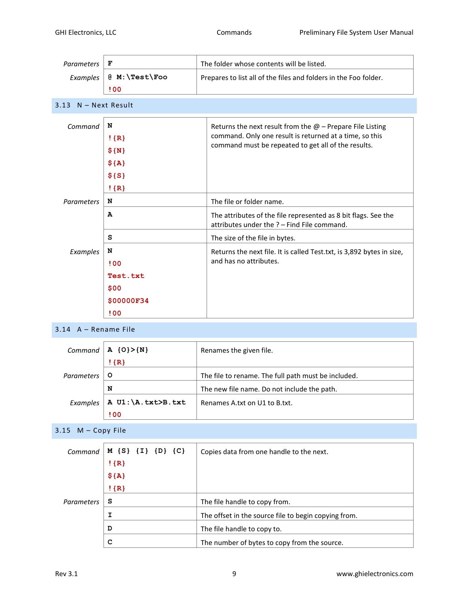<span id="page-8-0"></span>

| <b>Parameters</b> | F                 | The folder whose contents will be listed.                                                                     |
|-------------------|-------------------|---------------------------------------------------------------------------------------------------------------|
| Examples          | @ M: \Test\Foo    | Prepares to list all of the files and folders in the Foo folder.                                              |
|                   | <b>! 00</b>       |                                                                                                               |
| 3.13              | $N - Next$ Result |                                                                                                               |
| Command           | N                 | Returns the next result from the $@$ – Prepare File Listing                                                   |
|                   | $!$ {R}           | command. Only one result is returned at a time, so this                                                       |
|                   | $$ \{ N \}$       | command must be repeated to get all of the results.                                                           |
|                   | $${A}$            |                                                                                                               |
|                   | \$S(S)            |                                                                                                               |
|                   | $!$ {R}           |                                                                                                               |
| <b>Parameters</b> | N                 | The file or folder name.                                                                                      |
|                   | A                 | The attributes of the file represented as 8 bit flags. See the<br>attributes under the ? - Find File command. |
|                   | s                 | The size of the file in bytes.                                                                                |
| Examples          | N                 | Returns the next file. It is called Test.txt, is 3,892 bytes in size,                                         |
|                   | 100               | and has no attributes.                                                                                        |
|                   | Test.txt          |                                                                                                               |
|                   | \$00              |                                                                                                               |
|                   | \$00000F34        |                                                                                                               |
|                   | !00               |                                                                                                               |

# <span id="page-8-1"></span>3.14 A – Rename File

| Command           | $A \{0\} > \{N\}$  | Renames the given file.                             |
|-------------------|--------------------|-----------------------------------------------------|
|                   | $!$ {R}            |                                                     |
| <b>Parameters</b> | $\circ$            | The file to rename. The full path must be included. |
|                   | N                  | The new file name. Do not include the path.         |
| Examples          | A U1: \A.txt>B.txt | Renames A.txt on U1 to B.txt.                       |
|                   | <b>! 00</b>        |                                                     |

<span id="page-8-2"></span>3.15 M – Copy File

| Command    | M {S} {I} {D} {C} | Copies data from one handle to the next.             |
|------------|-------------------|------------------------------------------------------|
|            | $!$ {R}           |                                                      |
|            | $${A}$            |                                                      |
|            | $!$ {R}           |                                                      |
| Parameters | S                 | The file handle to copy from.                        |
|            | I                 | The offset in the source file to begin copying from. |
|            | D                 | The file handle to copy to.                          |
|            | C                 | The number of bytes to copy from the source.         |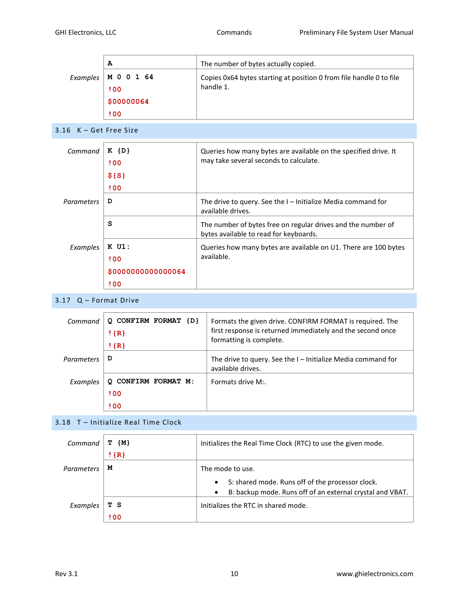|          | А             | The number of bytes actually copied.                                |
|----------|---------------|---------------------------------------------------------------------|
| Examples | <b>MOO164</b> | Copies 0x64 bytes starting at position 0 from file handle 0 to file |
|          | 100           | handle 1.                                                           |
|          | \$00000064    |                                                                     |
|          | <b>!00</b>    |                                                                     |

<span id="page-9-0"></span>3.16 K – Get Free Size

| Command    | $K$ $\{D\}$<br><b>! 00</b> | Queries how many bytes are available on the specified drive. It<br>may take several seconds to calculate. |
|------------|----------------------------|-----------------------------------------------------------------------------------------------------------|
|            | \$S                        |                                                                                                           |
|            | <b>! 00</b>                |                                                                                                           |
| Parameters | D                          | The drive to query. See the $I$ – Initialize Media command for<br>available drives.                       |
|            | s                          | The number of bytes free on regular drives and the number of<br>bytes available to read for keyboards.    |
| Examples   | $K$ U1:                    | Queries how many bytes are available on U1. There are 100 bytes                                           |
|            | <b>! 00</b>                | available.                                                                                                |
|            | \$000000000000064          |                                                                                                           |
|            | ! 00                       |                                                                                                           |

#### <span id="page-9-1"></span>3.17 Q – Format Drive

| Command    | <b>CONFIRM FORMAT</b><br>$\{D\}$<br>$!$ {R}<br>$!$ {R} | Formats the given drive. CONFIRM FORMAT is required. The<br>first response is returned immediately and the second once<br>formatting is complete. |
|------------|--------------------------------------------------------|---------------------------------------------------------------------------------------------------------------------------------------------------|
| Parameters | D                                                      | The drive to query. See the $I$ – Initialize Media command for<br>available drives.                                                               |
| Examples   | CONFIRM FORMAT M:<br><b>! 00</b><br>100                | Formats drive M:                                                                                                                                  |

# <span id="page-9-2"></span>3.18 T – Initialize Real Time Clock

| Command    | ${M}$<br>т  | Initializes the Real Time Clock (RTC) to use the given mode.                                                                            |
|------------|-------------|-----------------------------------------------------------------------------------------------------------------------------------------|
|            | $!$ {R}     |                                                                                                                                         |
| Parameters | м           | The mode to use.                                                                                                                        |
|            |             | S: shared mode. Runs off of the processor clock.<br>$\bullet$<br>B: backup mode. Runs off of an external crystal and VBAT.<br>$\bullet$ |
| Examples   | тs          | Initializes the RTC in shared mode.                                                                                                     |
|            | <b>! 00</b> |                                                                                                                                         |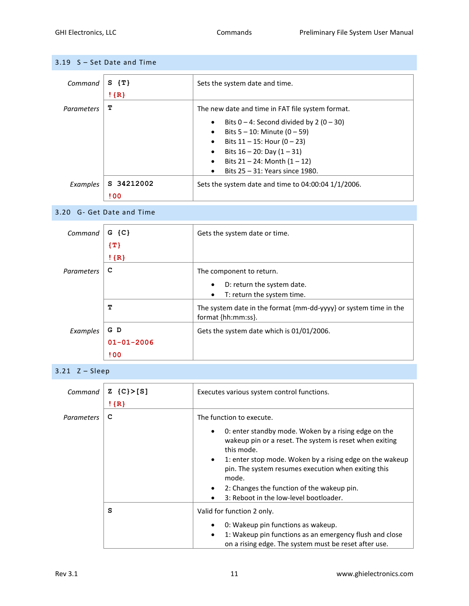<span id="page-10-0"></span>

| 3.19 S - Set Date and Time |
|----------------------------|
|----------------------------|

| Command    | $S \{T\}$<br>$!$ {R} | Sets the system date and time.                                                                                                                                                                                                                                                                              |
|------------|----------------------|-------------------------------------------------------------------------------------------------------------------------------------------------------------------------------------------------------------------------------------------------------------------------------------------------------------|
| Parameters | т                    | The new date and time in FAT file system format.                                                                                                                                                                                                                                                            |
|            |                      | Bits $0 - 4$ : Second divided by 2 (0 - 30)<br>$\bullet$<br>Bits $5 - 10$ : Minute $(0 - 59)$<br>$\bullet$<br>Bits $11 - 15$ : Hour (0 - 23)<br>$\bullet$<br>Bits $16 - 20$ : Day $(1 - 31)$<br>$\bullet$<br>Bits $21 - 24$ : Month $(1 - 12)$<br>$\bullet$<br>Bits 25 - 31: Years since 1980.<br>$\bullet$ |
| Examples   | S 34212002           | Sets the system date and time to $04:00:04$ 1/1/2006.                                                                                                                                                                                                                                                       |
|            | ! 00                 |                                                                                                                                                                                                                                                                                                             |

#### <span id="page-10-1"></span>3.20 G- Get Date and Time

| Command    | $G$ {C}          | Gets the system date or time.                                                          |
|------------|------------------|----------------------------------------------------------------------------------------|
|            | $\{T\}$          |                                                                                        |
|            | $!$ {R}          |                                                                                        |
| Parameters | C                | The component to return.                                                               |
|            |                  | D: return the system date.<br>$\bullet$                                                |
|            |                  | T: return the system time.<br>$\bullet$                                                |
|            | т                | The system date in the format {mm-dd-yyyy} or system time in the<br>format {hh:mm:ss}. |
| Examples   | G D              | Gets the system date which is 01/01/2006.                                              |
|            | $01 - 01 - 2006$ |                                                                                        |
|            | ! 00             |                                                                                        |

<span id="page-10-2"></span>3.21 Z – Sleep

| Command    | $Z \{C\} > [S]$<br>$!$ {R} | Executes various system control functions.                                                                                                                                                                                                                                                                                                                                       |
|------------|----------------------------|----------------------------------------------------------------------------------------------------------------------------------------------------------------------------------------------------------------------------------------------------------------------------------------------------------------------------------------------------------------------------------|
| Parameters | c                          | The function to execute.                                                                                                                                                                                                                                                                                                                                                         |
|            |                            | 0: enter standby mode. Woken by a rising edge on the<br>$\bullet$<br>wakeup pin or a reset. The system is reset when exiting<br>this mode.<br>1: enter stop mode. Woken by a rising edge on the wakeup<br>$\bullet$<br>pin. The system resumes execution when exiting this<br>mode.<br>2: Changes the function of the wakeup pin.<br>٠<br>3: Reboot in the low-level bootloader. |
|            | s                          | Valid for function 2 only.                                                                                                                                                                                                                                                                                                                                                       |
|            |                            | 0: Wakeup pin functions as wakeup.<br>٠<br>1: Wakeup pin functions as an emergency flush and close<br>$\bullet$<br>on a rising edge. The system must be reset after use.                                                                                                                                                                                                         |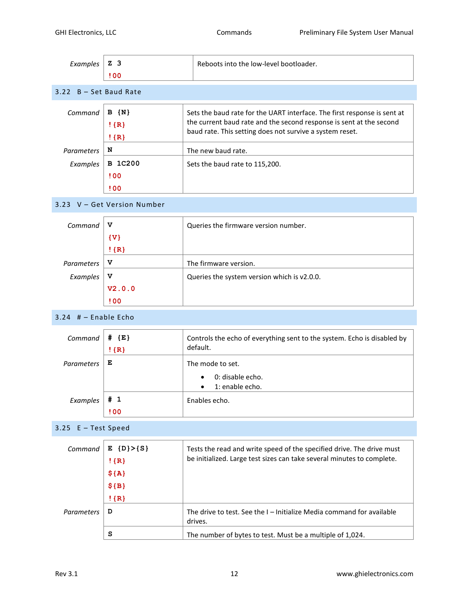<span id="page-11-3"></span><span id="page-11-2"></span><span id="page-11-1"></span><span id="page-11-0"></span>

| Examples               | Z <sub>3</sub><br>! 00                                       | Reboots into the low-level bootloader.                                                                                                                                                                      |
|------------------------|--------------------------------------------------------------|-------------------------------------------------------------------------------------------------------------------------------------------------------------------------------------------------------------|
| 3.22 B - Set Baud Rate |                                                              |                                                                                                                                                                                                             |
| Command                | $B \{N\}$<br>$!$ {R}<br>$!$ {R}                              | Sets the baud rate for the UART interface. The first response is sent at<br>the current baud rate and the second response is sent at the second<br>baud rate. This setting does not survive a system reset. |
| Parameters             | N                                                            | The new baud rate.                                                                                                                                                                                          |
| Examples               | <b>B</b> 1C200<br>!00<br>!00                                 | Sets the baud rate to 115,200.                                                                                                                                                                              |
|                        | 3.23 V - Get Version Number                                  |                                                                                                                                                                                                             |
| Command                | v<br>$\{V\}$<br>$!$ {R}                                      | Queries the firmware version number.                                                                                                                                                                        |
| Parameters             | v                                                            | The firmware version.                                                                                                                                                                                       |
| Examples               | v<br>V2.0.0<br><b>! 00</b>                                   | Queries the system version which is v2.0.0.                                                                                                                                                                 |
| $3.24$ # - Enable Echo |                                                              |                                                                                                                                                                                                             |
| Command                | # {E}<br>$!$ {R}                                             | Controls the echo of everything sent to the system. Echo is disabled by<br>default.                                                                                                                         |
| Parameters             | Е                                                            | The mode to set.                                                                                                                                                                                            |
|                        |                                                              | 0: disable echo.<br>1: enable echo.                                                                                                                                                                         |
| Examples               | # 1<br>100                                                   | Enables echo.                                                                                                                                                                                               |
| 3.25 E - Test Speed    |                                                              |                                                                                                                                                                                                             |
| Command                | $E \{D\} > \{S\}$<br>$!$ {R}<br>$${A}$<br>$$ {B}$<br>$!$ {R} | Tests the read and write speed of the specified drive. The drive must<br>be initialized. Large test sizes can take several minutes to complete.                                                             |
| Parameters             | D                                                            | The drive to test. See the I - Initialize Media command for available<br>drives.                                                                                                                            |
|                        | s                                                            | The number of bytes to test. Must be a multiple of 1,024.                                                                                                                                                   |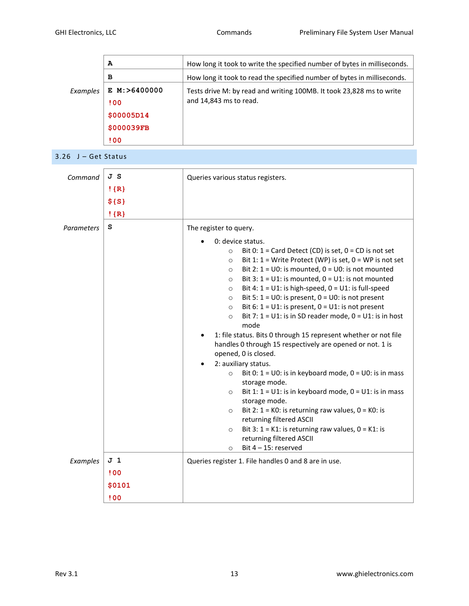|          | A              | How long it took to write the specified number of bytes in milliseconds. |
|----------|----------------|--------------------------------------------------------------------------|
|          | в              | How long it took to read the specified number of bytes in milliseconds.  |
| Examples | E M: > 6400000 | Tests drive M: by read and writing 100MB. It took 23,828 ms to write     |
|          | 100            | and 14,843 ms to read.                                                   |
|          | \$00005D14     |                                                                          |
|          | \$000039FB     |                                                                          |
|          | 100            |                                                                          |

<span id="page-12-0"></span>3.26 J – Get Status

| Command    | JS<br>$!$ {R}  | Queries various status registers.                                                                                                                                                                                                                                                                                                                                                                                                                                                                                                                                                                                                                                                                                                                                                          |  |  |
|------------|----------------|--------------------------------------------------------------------------------------------------------------------------------------------------------------------------------------------------------------------------------------------------------------------------------------------------------------------------------------------------------------------------------------------------------------------------------------------------------------------------------------------------------------------------------------------------------------------------------------------------------------------------------------------------------------------------------------------------------------------------------------------------------------------------------------------|--|--|
|            | \$S            |                                                                                                                                                                                                                                                                                                                                                                                                                                                                                                                                                                                                                                                                                                                                                                                            |  |  |
|            | $!$ {R}        |                                                                                                                                                                                                                                                                                                                                                                                                                                                                                                                                                                                                                                                                                                                                                                                            |  |  |
| Parameters | S              | The register to query.<br>0: device status.                                                                                                                                                                                                                                                                                                                                                                                                                                                                                                                                                                                                                                                                                                                                                |  |  |
|            |                | Bit 0: $1 =$ Card Detect (CD) is set, $0 =$ CD is not set<br>$\circ$<br>Bit 1: $1 = Write$ Protect (WP) is set, $0 = WP$ is not set<br>$\circ$<br>Bit 2: $1 = 00$ : is mounted, $0 = 00$ : is not mounted<br>$\circ$<br>Bit 3: $1 = U1$ : is mounted, $0 = U1$ : is not mounted<br>$\circ$<br>Bit 4: $1 = U1$ : is high-speed, $0 = U1$ : is full-speed<br>$\circ$<br>Bit 5: $1 = 00$ : is present, $0 = 00$ : is not present<br>$\circ$<br>Bit 6: $1 = \cup 1$ : is present, $0 = \cup 1$ : is not present<br>$\circ$<br>Bit 7: $1 = U1$ : is in SD reader mode, $0 = U1$ : is in host<br>$\circ$<br>mode<br>1: file status. Bits 0 through 15 represent whether or not file<br>handles 0 through 15 respectively are opened or not. 1 is<br>opened, 0 is closed.<br>2: auxiliary status. |  |  |
|            |                | Bit 0: $1 = \cup 0$ : is in keyboard mode, $0 = \cup 0$ : is in mass<br>$\circ$<br>storage mode.<br>Bit 1: $1 = U1$ : is in keyboard mode, $0 = U1$ : is in mass<br>$\circ$<br>storage mode.<br>Bit 2: $1 = KO$ : is returning raw values, $0 = KO$ : is<br>$\circ$<br>returning filtered ASCII<br>Bit 3: $1 = K1$ : is returning raw values, $0 = K1$ : is<br>$\circ$<br>returning filtered ASCII                                                                                                                                                                                                                                                                                                                                                                                         |  |  |
| Examples   | J <sub>1</sub> | Bit $4 - 15$ : reserved<br>$\circ$                                                                                                                                                                                                                                                                                                                                                                                                                                                                                                                                                                                                                                                                                                                                                         |  |  |
|            | !00            | Queries register 1. File handles 0 and 8 are in use.                                                                                                                                                                                                                                                                                                                                                                                                                                                                                                                                                                                                                                                                                                                                       |  |  |
|            | \$0101         |                                                                                                                                                                                                                                                                                                                                                                                                                                                                                                                                                                                                                                                                                                                                                                                            |  |  |
|            | !00            |                                                                                                                                                                                                                                                                                                                                                                                                                                                                                                                                                                                                                                                                                                                                                                                            |  |  |
|            |                |                                                                                                                                                                                                                                                                                                                                                                                                                                                                                                                                                                                                                                                                                                                                                                                            |  |  |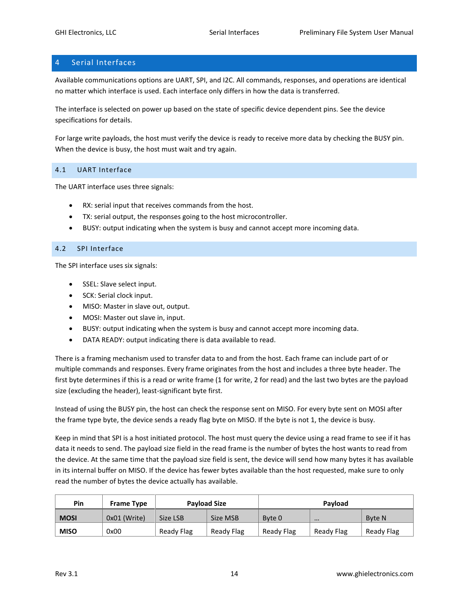# <span id="page-13-0"></span>4 Serial Interfaces

Available communications options are UART, SPI, and I2C. All commands, responses, and operations are identical no matter which interface is used. Each interface only differs in how the data is transferred.

The interface is selected on power up based on the state of specific device dependent pins. See the device specifications for details.

For large write payloads, the host must verify the device is ready to receive more data by checking the BUSY pin. When the device is busy, the host must wait and try again.

#### <span id="page-13-1"></span>4.1 UART Interface

The UART interface uses three signals:

- RX: serial input that receives commands from the host.
- TX: serial output, the responses going to the host microcontroller.
- BUSY: output indicating when the system is busy and cannot accept more incoming data.

#### <span id="page-13-2"></span>4.2 SPI Interface

The SPI interface uses six signals:

- SSEL: Slave select input.
- SCK: Serial clock input.
- MISO: Master in slave out, output.
- MOSI: Master out slave in, input.
- BUSY: output indicating when the system is busy and cannot accept more incoming data.
- DATA READY: output indicating there is data available to read.

There is a framing mechanism used to transfer data to and from the host. Each frame can include part of or multiple commands and responses. Every frame originates from the host and includes a three byte header. The first byte determines if this is a read or write frame (1 for write, 2 for read) and the last two bytes are the payload size (excluding the header), least-significant byte first.

Instead of using the BUSY pin, the host can check the response sent on MISO. For every byte sent on MOSI after the frame type byte, the device sends a ready flag byte on MISO. If the byte is not 1, the device is busy.

Keep in mind that SPI is a host initiated protocol. The host must query the device using a read frame to see if it has data it needs to send. The payload size field in the read frame is the number of bytes the host wants to read from the device. At the same time that the payload size field is sent, the device will send how many bytes it has available in its internal buffer on MISO. If the device has fewer bytes available than the host requested, make sure to only read the number of bytes the device actually has available.

| Pin         | <b>Frame Type</b> | <b>Payload Size</b> |            | Payload    |            |               |
|-------------|-------------------|---------------------|------------|------------|------------|---------------|
| <b>MOSI</b> | 0x01 (Write)      | Size LSB            | Size MSB   | Byte 0     | $\cdots$   | <b>Byte N</b> |
| <b>MISO</b> | 0x00              | Ready Flag          | Ready Flag | Ready Flag | Ready Flag | Ready Flag    |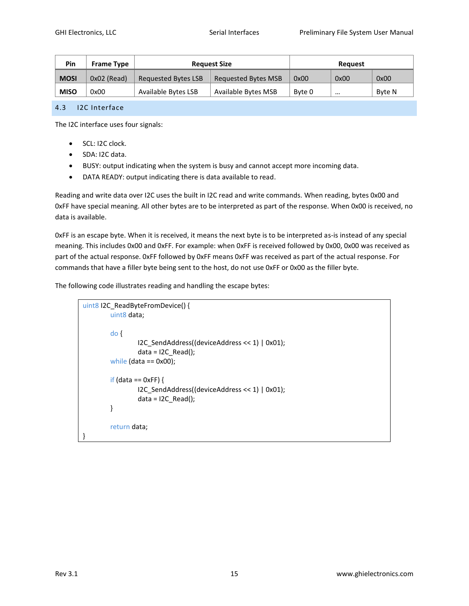| Pin         | <b>Frame Type</b> | <b>Request Size</b> |                            | Reauest |          |        |
|-------------|-------------------|---------------------|----------------------------|---------|----------|--------|
| <b>MOSI</b> | $0x02$ (Read)     | Requested Bytes LSB | Requested Bytes MSB        | 0x00    | 0x00     | 0x00   |
| <b>MISO</b> | 0x00              | Available Bytes LSB | <b>Available Bytes MSB</b> | Byte 0  | $\cdots$ | Byte N |

#### <span id="page-14-0"></span>4.3 I2C Interface

The I2C interface uses four signals:

- **SCL: I2C clock.**
- SDA: I2C data.
- BUSY: output indicating when the system is busy and cannot accept more incoming data.
- DATA READY: output indicating there is data available to read.

Reading and write data over I2C uses the built in I2C read and write commands. When reading, bytes 0x00 and 0xFF have special meaning. All other bytes are to be interpreted as part of the response. When 0x00 is received, no data is available.

0xFF is an escape byte. When it is received, it means the next byte is to be interpreted as-is instead of any special meaning. This includes 0x00 and 0xFF. For example: when 0xFF is received followed by 0x00, 0x00 was received as part of the actual response. 0xFF followed by 0xFF means 0xFF was received as part of the actual response. For commands that have a filler byte being sent to the host, do not use 0xFF or 0x00 as the filler byte.

The following code illustrates reading and handling the escape bytes:

```
uint8 I2C_ReadByteFromDevice() { 
        uint8 data;
         do {
                 I2C_SendAddress((deviceAddress << 1) | 0x01);
                 data = 12C_{Read()};
        while (data == 0x00);
        if (data == 0xFF) {
                 I2C_SendAddress((deviceAddress << 1) | 0x01);
                 data = 12C_{Read()};
        }
        return data;
}
```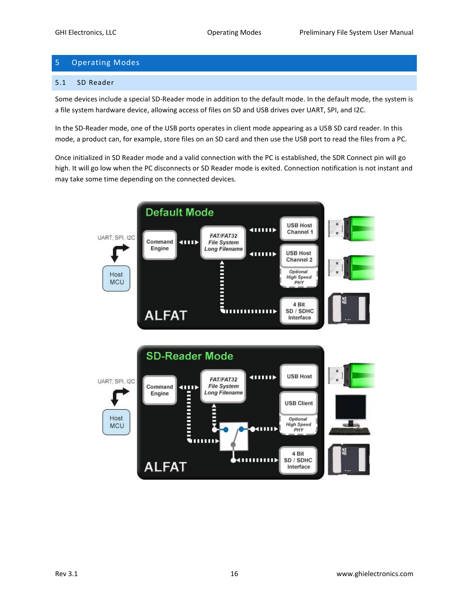# <span id="page-15-0"></span>5 Operating Modes

#### <span id="page-15-1"></span>5.1 SD Reader

Some devices include a special SD-Reader mode in addition to the default mode. In the default mode, the system is a file system hardware device, allowing access of files on SD and USB drives over UART, SPI, and I2C.

In the SD-Reader mode, one of the USB ports operates in client mode appearing as a USB SD card reader. In this mode, a product can, for example, store files on an SD card and then use the USB port to read the files from a PC.

Once initialized in SD Reader mode and a valid connection with the PC is established, the SDR Connect pin will go high. It will go low when the PC disconnects or SD Reader mode is exited. Connection notification is not instant and may take some time depending on the connected devices.

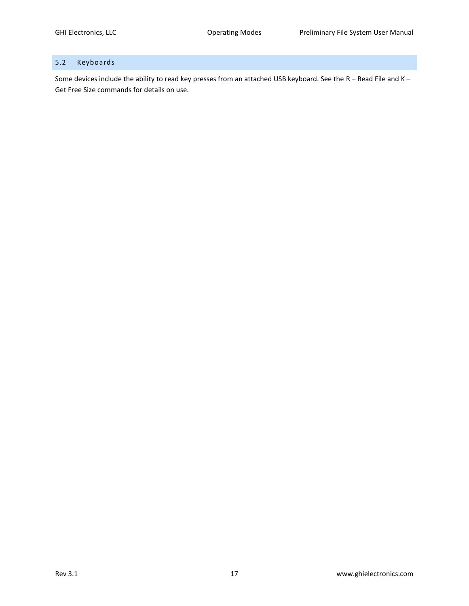# <span id="page-16-0"></span>5.2 Keyboards

Some devices include the ability to read key presses from an attached USB keyboard. See the R – [Read File](#page-5-0) an[d K](#page-9-0) – [Get Free Size](#page-9-0) commands for details on use.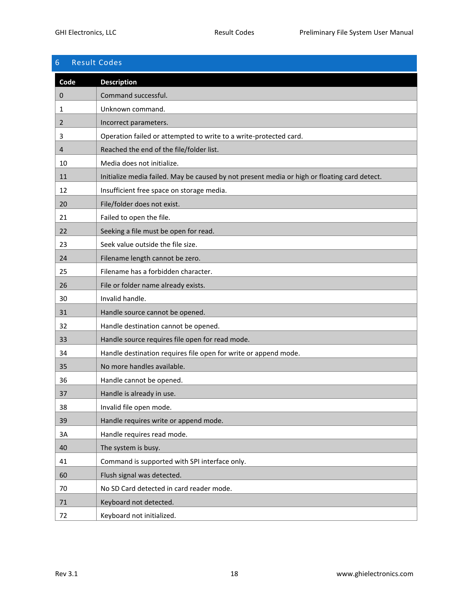# <span id="page-17-0"></span>6 Result Codes **Code Description** 0 | Command successful. 1 **Unknown command.** 2 **Incorrect parameters.** 3 Operation failed or attempted to write to a write-protected card. 4 Reached the end of the file/folder list. 10 | Media does not initialize. 11 Initialize media failed. May be caused by not present media or high or floating card detect. 12 Insufficient free space on storage media. 20 File/folder does not exist. 21 **Failed to open the file.** 22 Seeking a file must be open for read. 23 Seek value outside the file size. 24 Filename length cannot be zero. 25 Filename has a forbidden character. 26 File or folder name already exists. 30 Invalid handle. 31 Handle source cannot be opened. 32 Handle destination cannot be opened. 33 Handle source requires file open for read mode. 34 Handle destination requires file open for write or append mode. 35 No more handles available. 36 Handle cannot be opened. 37 Handle is already in use. 38 Invalid file open mode. 39 Handle requires write or append mode. 3A Handle requires read mode. 40 The system is busy. 41 Command is supported with SPI interface only. 60 Flush signal was detected. 70 No SD Card detected in card reader mode. 71 Keyboard not detected. 72 | Keyboard not initialized.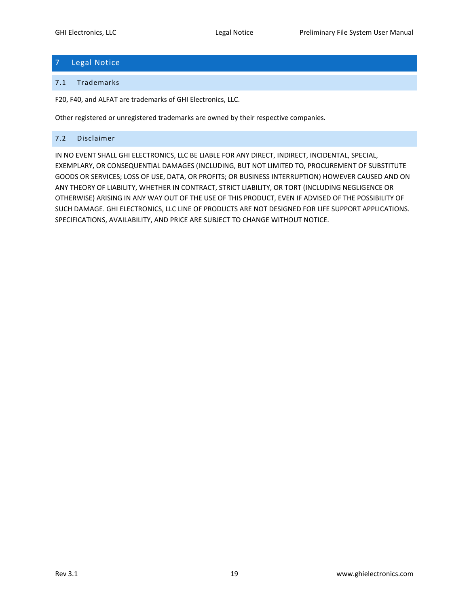# <span id="page-18-0"></span>7 Legal Notice

#### <span id="page-18-1"></span>7.1 Trademarks

F20, F40, and ALFAT are trademarks of GHI Electronics, LLC.

Other registered or unregistered trademarks are owned by their respective companies.

#### <span id="page-18-2"></span>7.2 Disclaimer

IN NO EVENT SHALL GHI ELECTRONICS, LLC BE LIABLE FOR ANY DIRECT, INDIRECT, INCIDENTAL, SPECIAL, EXEMPLARY, OR CONSEQUENTIAL DAMAGES (INCLUDING, BUT NOT LIMITED TO, PROCUREMENT OF SUBSTITUTE GOODS OR SERVICES; LOSS OF USE, DATA, OR PROFITS; OR BUSINESS INTERRUPTION) HOWEVER CAUSED AND ON ANY THEORY OF LIABILITY, WHETHER IN CONTRACT, STRICT LIABILITY, OR TORT (INCLUDING NEGLIGENCE OR OTHERWISE) ARISING IN ANY WAY OUT OF THE USE OF THIS PRODUCT, EVEN IF ADVISED OF THE POSSIBILITY OF SUCH DAMAGE. GHI ELECTRONICS, LLC LINE OF PRODUCTS ARE NOT DESIGNED FOR LIFE SUPPORT APPLICATIONS. SPECIFICATIONS, AVAILABILITY, AND PRICE ARE SUBJECT TO CHANGE WITHOUT NOTICE.